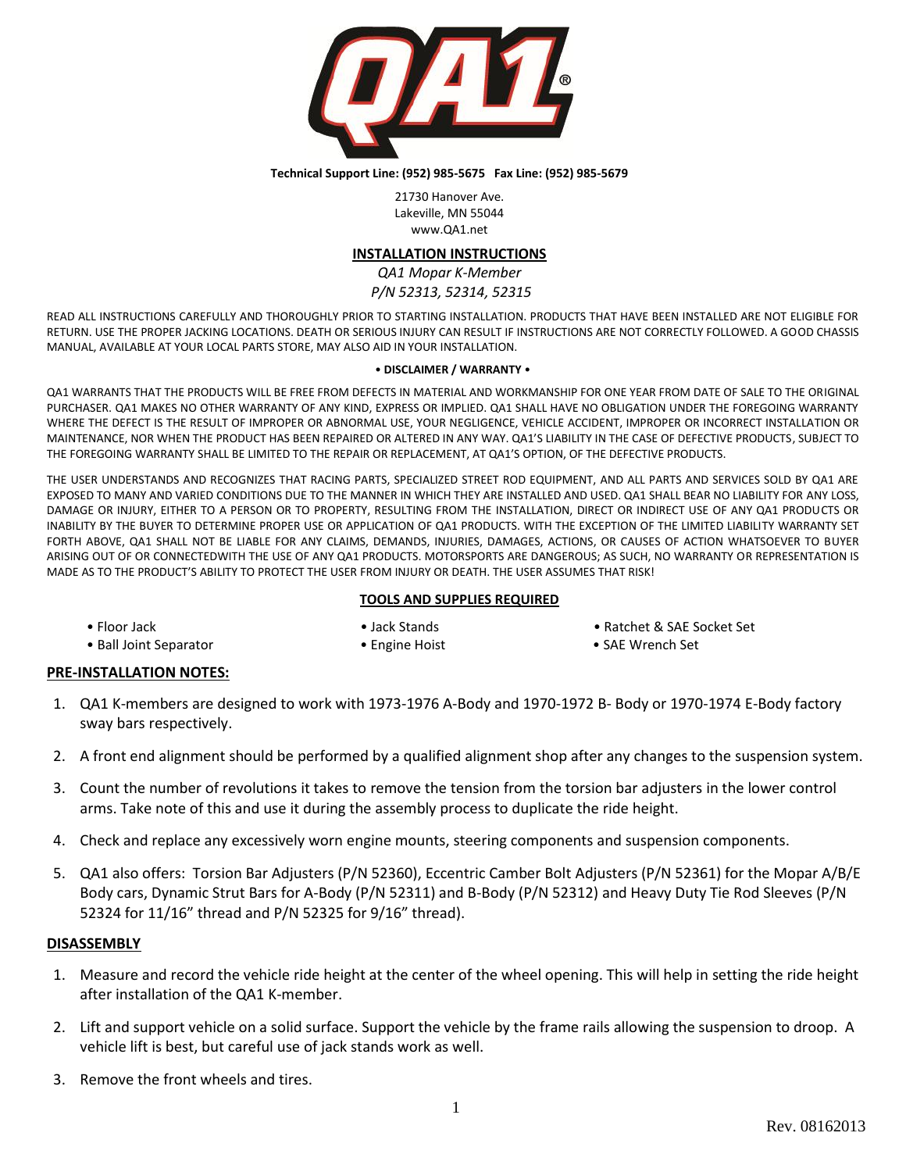

#### **Technical Support Line: (952) 985-5675 Fax Line: (952) 985-5679**

21730 Hanover Ave. Lakeville, MN 55044 www.QA1.net

## **INSTALLATION INSTRUCTIONS**

*QA1 Mopar K-Member P/N 52313, 52314, 52315*

READ ALL INSTRUCTIONS CAREFULLY AND THOROUGHLY PRIOR TO STARTING INSTALLATION. PRODUCTS THAT HAVE BEEN INSTALLED ARE NOT ELIGIBLE FOR RETURN. USE THE PROPER JACKING LOCATIONS. DEATH OR SERIOUS INJURY CAN RESULT IF INSTRUCTIONS ARE NOT CORRECTLY FOLLOWED. A GOOD CHASSIS MANUAL, AVAILABLE AT YOUR LOCAL PARTS STORE, MAY ALSO AID IN YOUR INSTALLATION.

#### • **DISCLAIMER / WARRANTY** •

QA1 WARRANTS THAT THE PRODUCTS WILL BE FREE FROM DEFECTS IN MATERIAL AND WORKMANSHIP FOR ONE YEAR FROM DATE OF SALE TO THE ORIGINAL PURCHASER. QA1 MAKES NO OTHER WARRANTY OF ANY KIND, EXPRESS OR IMPLIED. QA1 SHALL HAVE NO OBLIGATION UNDER THE FOREGOING WARRANTY WHERE THE DEFECT IS THE RESULT OF IMPROPER OR ABNORMAL USE, YOUR NEGLIGENCE, VEHICLE ACCIDENT, IMPROPER OR INCORRECT INSTALLATION OR MAINTENANCE, NOR WHEN THE PRODUCT HAS BEEN REPAIRED OR ALTERED IN ANY WAY. QA1'S LIABILITY IN THE CASE OF DEFECTIVE PRODUCTS, SUBJECT TO THE FOREGOING WARRANTY SHALL BE LIMITED TO THE REPAIR OR REPLACEMENT, AT QA1'S OPTION, OF THE DEFECTIVE PRODUCTS.

THE USER UNDERSTANDS AND RECOGNIZES THAT RACING PARTS, SPECIALIZED STREET ROD EQUIPMENT, AND ALL PARTS AND SERVICES SOLD BY QA1 ARE EXPOSED TO MANY AND VARIED CONDITIONS DUE TO THE MANNER IN WHICH THEY ARE INSTALLED AND USED. QA1 SHALL BEAR NO LIABILITY FOR ANY LOSS, DAMAGE OR INJURY, EITHER TO A PERSON OR TO PROPERTY, RESULTING FROM THE INSTALLATION, DIRECT OR INDIRECT USE OF ANY QA1 PRODUCTS OR INABILITY BY THE BUYER TO DETERMINE PROPER USE OR APPLICATION OF QA1 PRODUCTS. WITH THE EXCEPTION OF THE LIMITED LIABILITY WARRANTY SET FORTH ABOVE, QA1 SHALL NOT BE LIABLE FOR ANY CLAIMS, DEMANDS, INJURIES, DAMAGES, ACTIONS, OR CAUSES OF ACTION WHATSOEVER TO BUYER ARISING OUT OF OR CONNECTEDWITH THE USE OF ANY QA1 PRODUCTS. MOTORSPORTS ARE DANGEROUS; AS SUCH, NO WARRANTY OR REPRESENTATION IS MADE AS TO THE PRODUCT'S ABILITY TO PROTECT THE USER FROM INJURY OR DEATH. THE USER ASSUMES THAT RISK!

## **TOOLS AND SUPPLIES REQUIRED**

| • Floor Jack |  |
|--------------|--|
|--------------|--|

- Jack Stands Ratchet & SAE Socket Set
- Ball Joint Separator Channel Engine Hoist For example  **SAE Wrench Set**
- 

## **PRE-INSTALLATION NOTES:**

- 1. QA1 K-members are designed to work with 1973-1976 A-Body and 1970-1972 B- Body or 1970-1974 E-Body factory sway bars respectively.
- 2. A front end alignment should be performed by a qualified alignment shop after any changes to the suspension system.
- 3. Count the number of revolutions it takes to remove the tension from the torsion bar adjusters in the lower control arms. Take note of this and use it during the assembly process to duplicate the ride height.
- 4. Check and replace any excessively worn engine mounts, steering components and suspension components.
- 5. QA1 also offers: Torsion Bar Adjusters (P/N 52360), Eccentric Camber Bolt Adjusters (P/N 52361) for the Mopar A/B/E Body cars, Dynamic Strut Bars for A-Body (P/N 52311) and B-Body (P/N 52312) and Heavy Duty Tie Rod Sleeves (P/N 52324 for 11/16" thread and P/N 52325 for 9/16" thread).

## **DISASSEMBLY**

- 1. Measure and record the vehicle ride height at the center of the wheel opening. This will help in setting the ride height after installation of the QA1 K-member.
- 2. Lift and support vehicle on a solid surface. Support the vehicle by the frame rails allowing the suspension to droop. A vehicle lift is best, but careful use of jack stands work as well.
- 3. Remove the front wheels and tires.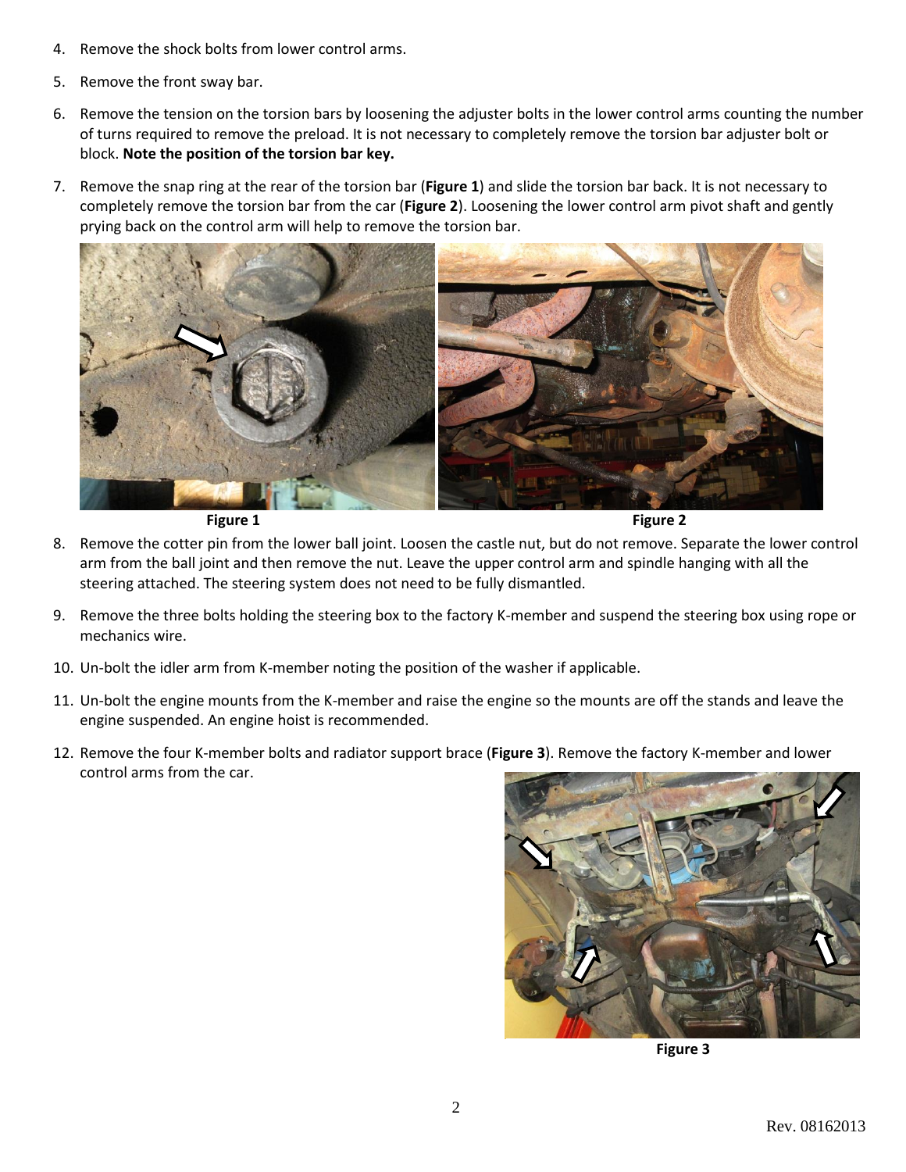- 4. Remove the shock bolts from lower control arms.
- 5. Remove the front sway bar.
- 6. Remove the tension on the torsion bars by loosening the adjuster bolts in the lower control arms counting the number of turns required to remove the preload. It is not necessary to completely remove the torsion bar adjuster bolt or block. **Note the position of the torsion bar key.**
- 7. Remove the snap ring at the rear of the torsion bar (**Figure 1**) and slide the torsion bar back. It is not necessary to completely remove the torsion bar from the car (**Figure 2**). Loosening the lower control arm pivot shaft and gently prying back on the control arm will help to remove the torsion bar.



**Figure 1** Figure 2

- 8. Remove the cotter pin from the lower ball joint. Loosen the castle nut, but do not remove. Separate the lower control arm from the ball joint and then remove the nut. Leave the upper control arm and spindle hanging with all the steering attached. The steering system does not need to be fully dismantled.
- 9. Remove the three bolts holding the steering box to the factory K-member and suspend the steering box using rope or mechanics wire.
- 10. Un-bolt the idler arm from K-member noting the position of the washer if applicable.
- 11. Un-bolt the engine mounts from the K-member and raise the engine so the mounts are off the stands and leave the engine suspended. An engine hoist is recommended.
- 12. Remove the four K-member bolts and radiator support brace (**Figure 3**). Remove the factory K-member and lower control arms from the car.



**Figure 3**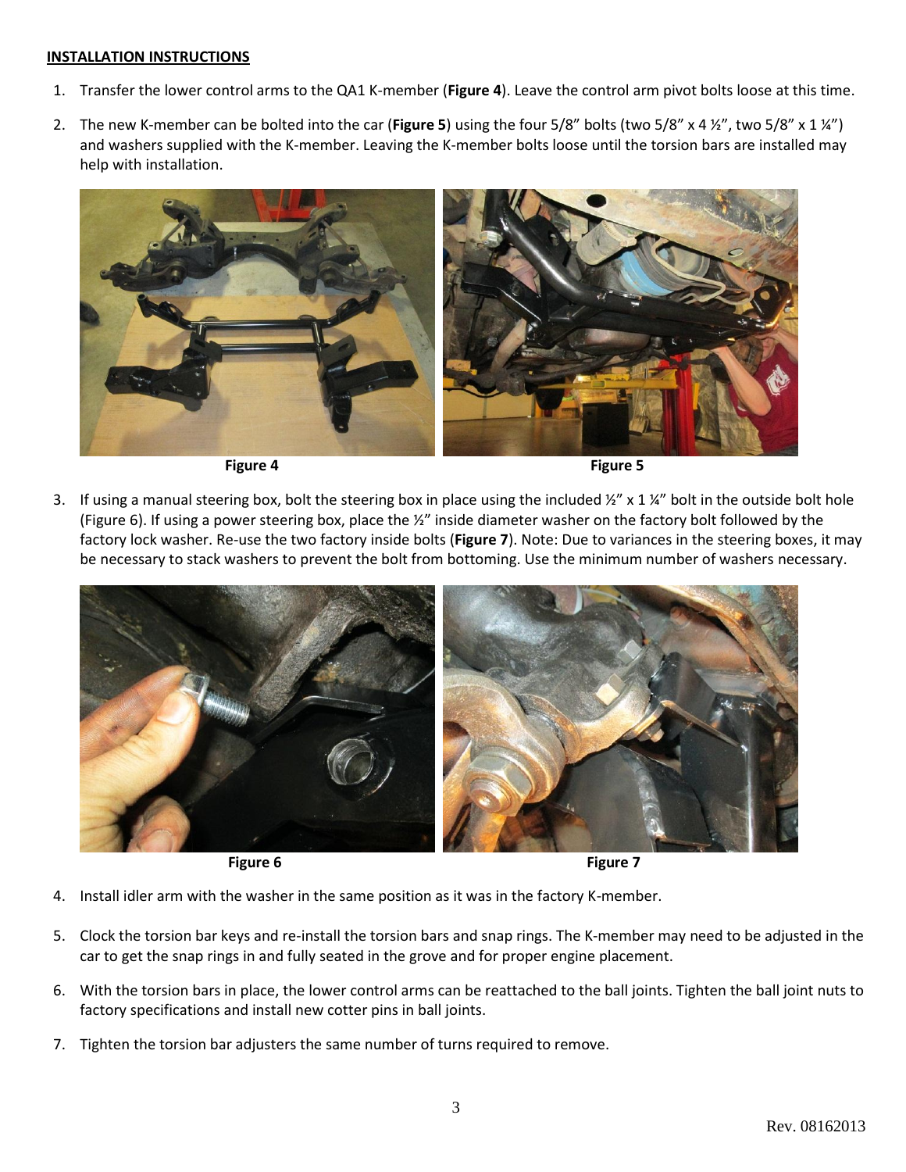## **INSTALLATION INSTRUCTIONS**

- 1. Transfer the lower control arms to the QA1 K-member (**Figure 4**). Leave the control arm pivot bolts loose at this time.
- 2. The new K-member can be bolted into the car (**Figure 5**) using the four 5/8" bolts (two 5/8" x 4 ½", two 5/8" x 1 ¼") and washers supplied with the K-member. Leaving the K-member bolts loose until the torsion bars are installed may help with installation.



**Figure 4** Figure 5

3. If using a manual steering box, bolt the steering box in place using the included  $\frac{1}{2}$  x 1  $\frac{1}{4}$  bolt in the outside bolt hole (Figure 6). If using a power steering box, place the ½" inside diameter washer on the factory bolt followed by the factory lock washer. Re-use the two factory inside bolts (**Figure 7**). Note: Due to variances in the steering boxes, it may be necessary to stack washers to prevent the bolt from bottoming. Use the minimum number of washers necessary.



**Figure 6 Figure 7 Figure 7** 

- 4. Install idler arm with the washer in the same position as it was in the factory K-member.
- 5. Clock the torsion bar keys and re-install the torsion bars and snap rings. The K-member may need to be adjusted in the car to get the snap rings in and fully seated in the grove and for proper engine placement.
- 6. With the torsion bars in place, the lower control arms can be reattached to the ball joints. Tighten the ball joint nuts to factory specifications and install new cotter pins in ball joints.
- 7. Tighten the torsion bar adjusters the same number of turns required to remove.